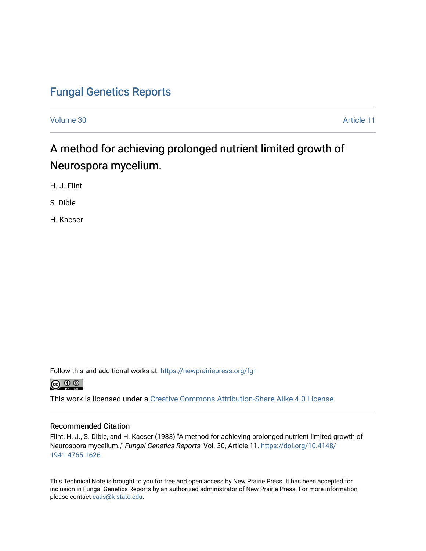## [Fungal Genetics Reports](https://newprairiepress.org/fgr)

[Volume 30](https://newprairiepress.org/fgr/vol30) Article 11

# A method for achieving prolonged nutrient limited growth of Neurospora mycelium.

H. J. Flint

S. Dible

H. Kacser

Follow this and additional works at: [https://newprairiepress.org/fgr](https://newprairiepress.org/fgr?utm_source=newprairiepress.org%2Ffgr%2Fvol30%2Fiss1%2F11&utm_medium=PDF&utm_campaign=PDFCoverPages) 



This work is licensed under a [Creative Commons Attribution-Share Alike 4.0 License.](https://creativecommons.org/licenses/by-sa/4.0/)

#### Recommended Citation

Flint, H. J., S. Dible, and H. Kacser (1983) "A method for achieving prolonged nutrient limited growth of Neurospora mycelium.," Fungal Genetics Reports: Vol. 30, Article 11. [https://doi.org/10.4148/](https://doi.org/10.4148/1941-4765.1626) [1941-4765.1626](https://doi.org/10.4148/1941-4765.1626) 

This Technical Note is brought to you for free and open access by New Prairie Press. It has been accepted for inclusion in Fungal Genetics Reports by an authorized administrator of New Prairie Press. For more information, please contact [cads@k-state.edu.](mailto:cads@k-state.edu)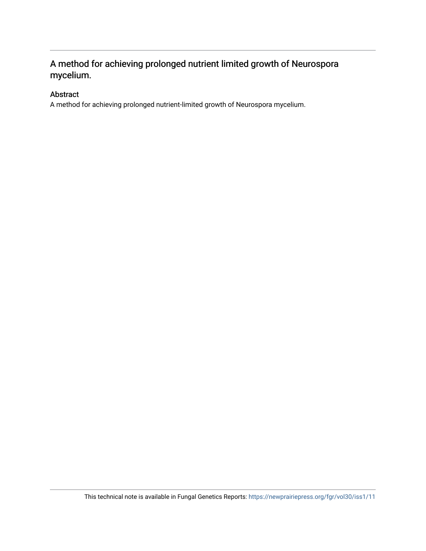## A method for achieving prolonged nutrient limited growth of Neurospora mycelium.

### Abstract

A method for achieving prolonged nutrient-limited growth of Neurospora mycelium.